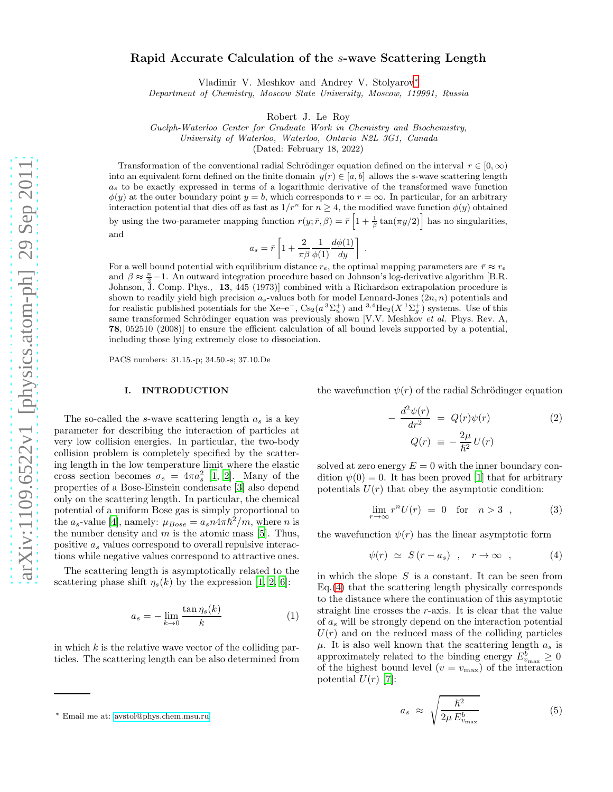# Rapid Accurate Calculation of the s-wave Scattering Length

Vladimir V. Meshkov and Andrey V. Stolyarov[∗](#page-0-0)

*Department of Chemistry, Moscow State University, Moscow, 119991, Russia*

Robert J. Le Roy

*Guelph-Waterloo Center for Graduate Work in Chemistry and Biochemistry,*

*University of Waterloo, Waterloo, Ontario N2L 3G1, Canada*

(Dated: February 18, 2022)

Transformation of the conventional radial Schrödinger equation defined on the interval  $r \in [0, \infty)$ into an equivalent form defined on the finite domain  $y(r) \in [a, b]$  allows the s-wave scattering length  $a<sub>s</sub>$  to be exactly expressed in terms of a logarithmic derivative of the transformed wave function  $\phi(y)$  at the outer boundary point  $y = b$ , which corresponds to  $r = \infty$ . In particular, for an arbitrary interaction potential that dies off as fast as  $1/r^n$  for  $n \geq 4$ , the modified wave function  $\phi(y)$  obtained by using the two-parameter mapping function  $r(y; \bar{r}, \beta) = \bar{r} \left[1 + \frac{1}{\beta} \tan(\pi y/2)\right]$  has no singularities, and

$$
a_s = \bar{r} \left[ 1 + \frac{2}{\pi \beta} \frac{1}{\phi(1)} \frac{d\phi(1)}{dy} \right]
$$

.

For a well bound potential with equilibrium distance  $r_e$ , the optimal mapping parameters are  $\bar{r} \approx r_e$ and  $\beta \approx \frac{n}{2} - 1$ . An outward integration procedure based on Johnson's log-derivative algorithm [B.R. Johnson, J. Comp. Phys., 13, 445 (1973)] combined with a Richardson extrapolation procedure is shown to readily yield high precision  $a_s$ -values both for model Lennard-Jones  $(2n, n)$  potentials and for realistic published potentials for the Xe–e<sup>-</sup>, Cs<sub>2</sub>( $a^3\Sigma_u^+$ ) and  $3.4\text{He}_2(X^1\Sigma_g^+)$  systems. Use of this same transformed Schrödinger equation was previously shown [V.V. Meshkov *et al.* Phys. Rev. A, 78, 052510 (2008)] to ensure the efficient calculation of all bound levels supported by a potential, including those lying extremely close to dissociation.

PACS numbers: 31.15.-p; 34.50.-s; 37.10.De

## I. INTRODUCTION

The so-called the s-wave scattering length  $a_s$  is a key parameter for describing the interaction of particles at very low collision energies. In particular, the two-body collision problem is completely specified by the scattering length in the low temperature limit where the elastic cross section becomes  $\sigma_e = 4\pi a_s^2$  [\[1,](#page-10-0) [2](#page-10-1)]. Many of the properties of a Bose-Einstein condensate [\[3\]](#page-10-2) also depend only on the scattering length. In particular, the chemical potential of a uniform Bose gas is simply proportional to the  $a_s$ -value [\[4](#page-10-3)], namely:  $\mu_{Bose} = a_s n 4 \pi \hbar^2 / m$ , where n is the number density and  $m$  is the atomic mass [\[5](#page-10-4)]. Thus, positive  $a_s$  values correspond to overall repulsive interactions while negative values correspond to attractive ones.

The scattering length is asymptotically related to the scattering phase shift  $\eta_s(k)$  by the expression [\[1,](#page-10-0) [2,](#page-10-1) [6\]](#page-11-0):

<span id="page-0-2"></span>
$$
a_s = -\lim_{k \to 0} \frac{\tan \eta_s(k)}{k} \tag{1}
$$

in which  $k$  is the relative wave vector of the colliding particles. The scattering length can be also determined from the wavefunction  $\psi(r)$  of the radial Schrödinger equation

<span id="page-0-3"></span>
$$
-\frac{d^2\psi(r)}{dr^2} = Q(r)\psi(r)
$$
\n
$$
Q(r) \equiv -\frac{2\mu}{\hbar^2}U(r)
$$
\n(2)

solved at zero energy  $E = 0$  with the inner boundary condition  $\psi(0) = 0$ . It has been proved [\[1](#page-10-0)] that for arbitrary potentials  $U(r)$  that obey the asymptotic condition:

$$
\lim_{r \to \infty} r^n U(r) = 0 \quad \text{for} \quad n > 3 \quad , \tag{3}
$$

the wavefunction  $\psi(r)$  has the linear asymptotic form

<span id="page-0-1"></span>
$$
\psi(r) \simeq S(r-a_s) , \quad r \to \infty , \qquad (4)
$$

in which the slope  $S$  is a constant. It can be seen from Eq.[\(4\)](#page-0-1) that the scattering length physically corresponds to the distance where the continuation of this asymptotic straight line crosses the r-axis. It is clear that the value of  $a_s$  will be strongly depend on the interaction potential  $U(r)$  and on the reduced mass of the colliding particles  $\mu$ . It is also well known that the scattering length  $a_s$  is approximately related to the binding energy  $E_{v_{\text{max}}}^b \geq 0$ of the highest bound level  $(v = v_{\text{max}})$  of the interaction potential  $U(r)$  [\[7\]](#page-11-1):

<span id="page-0-4"></span>
$$
a_s \approx \sqrt{\frac{\hbar^2}{2\mu E_{v_{\text{max}}}^b}} \tag{5}
$$

<span id="page-0-0"></span><sup>∗</sup> Email me at: [avstol@phys.chem.msu.ru](mailto:avstol@phys.chem.msu.ru)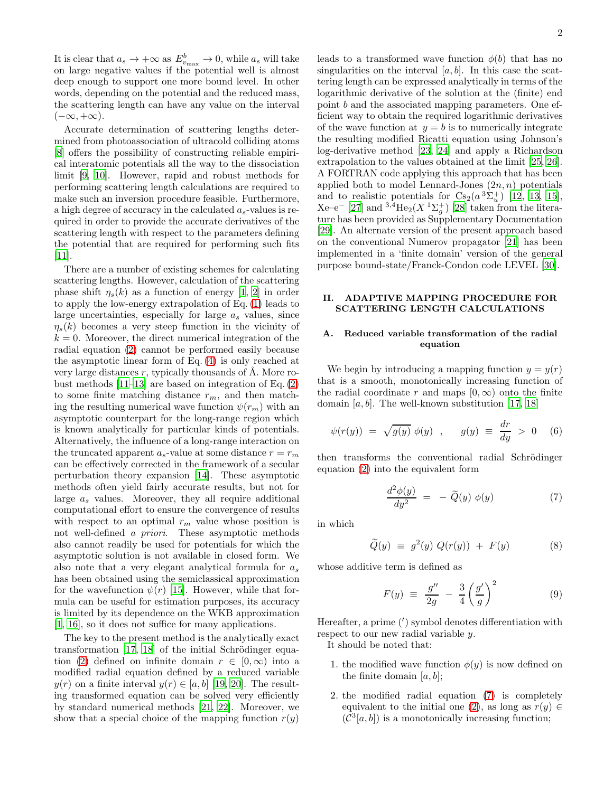It is clear that  $a_s \to +\infty$  as  $E_{v_{\text{max}}}^b \to 0$ , while  $a_s$  will take on large negative values if the potential well is almost deep enough to support one more bound level. In other words, depending on the potential and the reduced mass, the scattering length can have any value on the interval  $(-\infty, +\infty).$ 

Accurate determination of scattering lengths determined from photoassociation of ultracold colliding atoms [\[8\]](#page-11-2) offers the possibility of constructing reliable empirical interatomic potentials all the way to the dissociation limit [\[9](#page-11-3), [10\]](#page-11-4). However, rapid and robust methods for performing scattering length calculations are required to make such an inversion procedure feasible. Furthermore, a high degree of accuracy in the calculated  $a_s$ -values is required in order to provide the accurate derivatives of the scattering length with respect to the parameters defining the potential that are required for performing such fits [\[11\]](#page-11-5).

There are a number of existing schemes for calculating scattering lengths. However, calculation of the scattering phase shift  $\eta_s(k)$  as a function of energy [\[1,](#page-10-0) [2](#page-10-1)] in order to apply the low-energy extrapolation of Eq. [\(1\)](#page-0-2) leads to large uncertainties, especially for large  $a_s$  values, since  $\eta_s(k)$  becomes a very steep function in the vicinity of  $k = 0$ . Moreover, the direct numerical integration of the radial equation [\(2\)](#page-0-3) cannot be performed easily because the asymptotic linear form of Eq. [\(4\)](#page-0-1) is only reached at very large distances  $r$ , typically thousands of  $A$ . More robust methods [\[11](#page-11-5)[–13\]](#page-11-6) are based on integration of Eq. [\(2\)](#page-0-3) to some finite matching distance  $r_m$ , and then matching the resulting numerical wave function  $\psi(r_m)$  with an asymptotic counterpart for the long-range region which is known analytically for particular kinds of potentials. Alternatively, the influence of a long-range interaction on the truncated apparent  $a_s$ -value at some distance  $r = r_m$ can be effectively corrected in the framework of a secular perturbation theory expansion [\[14\]](#page-11-7). These asymptotic methods often yield fairly accurate results, but not for large  $a_s$  values. Moreover, they all require additional computational effort to ensure the convergence of results with respect to an optimal  $r_m$  value whose position is not well-defined a priori. These asymptotic methods also cannot readily be used for potentials for which the asymptotic solution is not available in closed form. We also note that a very elegant analytical formula for  $a_s$ has been obtained using the semiclassical approximation for the wavefunction  $\psi(r)$  [\[15\]](#page-11-8). However, while that formula can be useful for estimation purposes, its accuracy is limited by its dependence on the WKB approximation [\[1,](#page-10-0) [16\]](#page-11-9), so it does not suffice for many applications.

The key to the present method is the analytically exact transformation  $[17, 18]$  $[17, 18]$  of the initial Schrödinger equa-tion [\(2\)](#page-0-3) defined on infinite domain  $r \in [0,\infty)$  into a modified radial equation defined by a reduced variable  $y(r)$  on a finite interval  $y(r) \in [a, b]$  [\[19,](#page-11-12) [20\]](#page-11-13). The resulting transformed equation can be solved very efficiently by standard numerical methods [\[21](#page-11-14), [22\]](#page-11-15). Moreover, we show that a special choice of the mapping function  $r(y)$ 

leads to a transformed wave function  $\phi(b)$  that has no singularities on the interval  $[a, b]$ . In this case the scattering length can be expressed analytically in terms of the logarithmic derivative of the solution at the (finite) end point b and the associated mapping parameters. One efficient way to obtain the required logarithmic derivatives of the wave function at  $y = b$  is to numerically integrate the resulting modified Ricatti equation using Johnson's log-derivative method [\[23](#page-11-16), [24\]](#page-11-17) and apply a Richardson extrapolation to the values obtained at the limit [\[25,](#page-11-18) [26\]](#page-11-19). A FORTRAN code applying this approach that has been applied both to model Lennard-Jones  $(2n, n)$  potentials and to realistic potentials for  $Cs_2(a^3\Sigma_u^+)$  [\[12](#page-11-20), [13,](#page-11-6) [15\]](#page-11-8),  $Xe-e^{-}$  [\[27\]](#page-11-21) and  ${}^{3,4}He_2(X~^{1}\Sigma_g^+)$  [\[28](#page-11-22)] taken from the literature has been provided as Supplementary Documentation [\[29\]](#page-11-23). An alternate version of the present approach based on the conventional Numerov propagator [\[21](#page-11-14)] has been implemented in a 'finite domain' version of the general purpose bound-state/Franck-Condon code LEVEL [\[30\]](#page-11-24).

# ADAPTIVE MAPPING PROCEDURE FOR SCATTERING LENGTH CALCULATIONS

# A. Reduced variable transformation of the radial equation

We begin by introducing a mapping function  $y = y(r)$ that is a smooth, monotonically increasing function of the radial coordinate r and maps  $[0, \infty)$  onto the finite domain  $[a, b]$ . The well-known substitution [\[17,](#page-11-10) [18\]](#page-11-11)

<span id="page-1-1"></span>
$$
\psi(r(y)) = \sqrt{g(y)} \phi(y) , \quad g(y) \equiv \frac{dr}{dy} > 0
$$
 (6)

then transforms the conventional radial Schrödinger equation [\(2\)](#page-0-3) into the equivalent form

<span id="page-1-0"></span>
$$
\frac{d^2\phi(y)}{dy^2} = -\widetilde{Q}(y)\ \phi(y) \tag{7}
$$

in which

<span id="page-1-3"></span>
$$
\widetilde{Q}(y) \equiv g^2(y) Q(r(y)) + F(y) \tag{8}
$$

whose additive term is defined as

<span id="page-1-2"></span>
$$
F(y) \equiv \frac{g''}{2g} - \frac{3}{4} \left(\frac{g'}{g}\right)^2 \tag{9}
$$

Hereafter, a prime (′ ) symbol denotes differentiation with respect to our new radial variable y.

It should be noted that:

- 1. the modified wave function  $\phi(y)$  is now defined on the finite domain  $[a, b]$ ;
- 2. the modified radial equation [\(7\)](#page-1-0) is completely equivalent to the initial one [\(2\)](#page-0-3), as long as  $r(y) \in$  $(C^3[a, b])$  is a monotonically increasing function;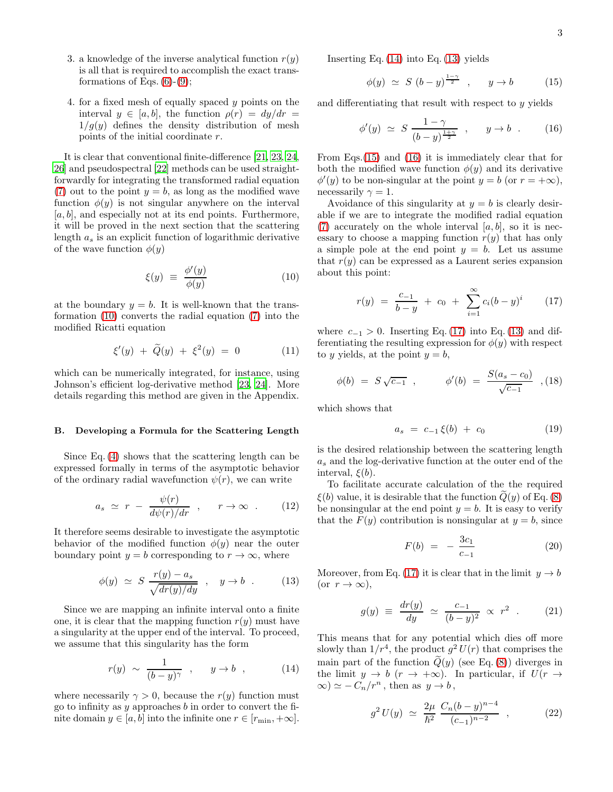- 3. a knowledge of the inverse analytical function  $r(y)$ is all that is required to accomplish the exact transformations of Eqs.  $(6)-(9)$  $(6)-(9)$ ;
- 4. for a fixed mesh of equally spaced y points on the interval  $y \in [a, b]$ , the function  $\rho(r) = dy/dr =$  $1/g(y)$  defines the density distribution of mesh points of the initial coordinate r.

It is clear that conventional finite-difference [\[21,](#page-11-14) [23](#page-11-16), [24](#page-11-17), [26\]](#page-11-19) and pseudospectral [\[22\]](#page-11-15) methods can be used straightforwardly for integrating the transformed radial equation [\(7\)](#page-1-0) out to the point  $y = b$ , as long as the modified wave function  $\phi(y)$  is not singular anywhere on the interval  $[a, b]$ , and especially not at its end points. Furthermore, it will be proved in the next section that the scattering length  $a_s$  is an explicit function of logarithmic derivative of the wave function  $\phi(y)$ 

<span id="page-2-0"></span>
$$
\xi(y) \equiv \frac{\phi'(y)}{\phi(y)} \tag{10}
$$

at the boundary  $y = b$ . It is well-known that the transformation [\(10\)](#page-2-0) converts the radial equation [\(7\)](#page-1-0) into the modified Ricatti equation

<span id="page-2-7"></span>
$$
\xi'(y) + \widetilde{Q}(y) + \xi^2(y) = 0 \tag{11}
$$

which can be numerically integrated, for instance, using Johnson's efficient log-derivative method [\[23,](#page-11-16) [24](#page-11-17)]. More details regarding this method are given in the Appendix.

### B. Developing a Formula for the Scattering Length

Since Eq. [\(4\)](#page-0-1) shows that the scattering length can be expressed formally in terms of the asymptotic behavior of the ordinary radial wavefunction  $\psi(r)$ , we can write

$$
a_s \simeq r - \frac{\psi(r)}{d\psi(r)/dr} , \quad r \to \infty . \tag{12}
$$

It therefore seems desirable to investigate the asymptotic behavior of the modified function  $\phi(y)$  near the outer boundary point  $y = b$  corresponding to  $r \to \infty$ , where

<span id="page-2-2"></span>
$$
\phi(y) \simeq S \frac{r(y) - a_s}{\sqrt{dr(y)/dy}} \, , \quad y \to b \, . \tag{13}
$$

Since we are mapping an infinite interval onto a finite one, it is clear that the mapping function  $r(y)$  must have a singularity at the upper end of the interval. To proceed, we assume that this singularity has the form

<span id="page-2-1"></span>
$$
r(y) \sim \frac{1}{(b-y)^{\gamma}} , \quad y \to b , \qquad (14)
$$

where necessarily  $\gamma > 0$ , because the  $r(y)$  function must go to infinity as y approaches b in order to convert the finite domain  $y \in [a, b]$  into the infinite one  $r \in [r_{\min}, +\infty]$ . Inserting Eq. [\(14\)](#page-2-1) into Eq. [\(13\)](#page-2-2) yields

<span id="page-2-3"></span>
$$
\phi(y) \simeq S (b - y)^{\frac{1 - \gamma}{2}}, \qquad y \to b \tag{15}
$$

and differentiating that result with respect to y yields

<span id="page-2-4"></span>
$$
\phi'(y) \simeq S \frac{1 - \gamma}{(b - y)^{\frac{1 + \gamma}{2}}}, \quad y \to b.
$$
 (16)

From Eqs.[\(15\)](#page-2-3) and [\(16\)](#page-2-4) it is immediately clear that for both the modified wave function  $\phi(y)$  and its derivative  $\phi'(y)$  to be non-singular at the point  $y = b$  (or  $r = +\infty$ ), necessarily  $\gamma = 1$ .

Avoidance of this singularity at  $y = b$  is clearly desirable if we are to integrate the modified radial equation [\(7\)](#page-1-0) accurately on the whole interval  $[a, b]$ , so it is necessary to choose a mapping function  $r(y)$  that has only a simple pole at the end point  $y = b$ . Let us assume that  $r(y)$  can be expressed as a Laurent series expansion about this point:

<span id="page-2-5"></span>
$$
r(y) = \frac{c_{-1}}{b - y} + c_0 + \sum_{i=1}^{\infty} c_i (b - y)^i \qquad (17)
$$

where  $c_{-1} > 0$ . Inserting Eq. [\(17\)](#page-2-5) into Eq. [\(13\)](#page-2-2) and differentiating the resulting expression for  $\phi(y)$  with respect to y yields, at the point  $y = b$ ,

$$
\phi(b) = S\sqrt{c_{-1}} \, , \qquad \phi'(b) = \frac{S(a_s - c_0)}{\sqrt{c_{-1}}} \, , \quad (18)
$$

which shows that

<span id="page-2-6"></span>
$$
a_s = c_{-1} \xi(b) + c_0 \tag{19}
$$

is the desired relationship between the scattering length  $a_s$  and the log-derivative function at the outer end of the interval,  $\xi(b)$ .

To facilitate accurate calculation of the the required  $\xi(b)$  value, it is desirable that the function  $\tilde{Q}(y)$  of Eq. [\(8\)](#page-1-3) be nonsingular at the end point  $y = b$ . It is easy to verify that the  $F(y)$  contribution is nonsingular at  $y = b$ , since

$$
F(b) = -\frac{3c_1}{c_{-1}} \tag{20}
$$

Moreover, from Eq. [\(17\)](#page-2-5) it is clear that in the limit  $y \to b$ (or  $r \to \infty$ ),

$$
g(y) \equiv \frac{dr(y)}{dy} \simeq \frac{c_{-1}}{(b-y)^2} \propto r^2 . \qquad (21)
$$

This means that for any potential which dies off more slowly than  $1/r^4$ , the product  $g^2 U(r)$  that comprises the main part of the function  $\tilde{Q}(y)$  (see Eq. [\(8\)](#page-1-3)) diverges in the limit  $y \to b \ (r \to +\infty)$ . In particular, if  $U(r \to$  $\infty$ )  $\simeq$   $-C_n/r^n$ , then as  $y \to b$ ,

$$
g^2 U(y) \simeq \frac{2\mu}{\hbar^2} \frac{C_n (b - y)^{n - 4}}{(c_{-1})^{n - 2}} , \qquad (22)
$$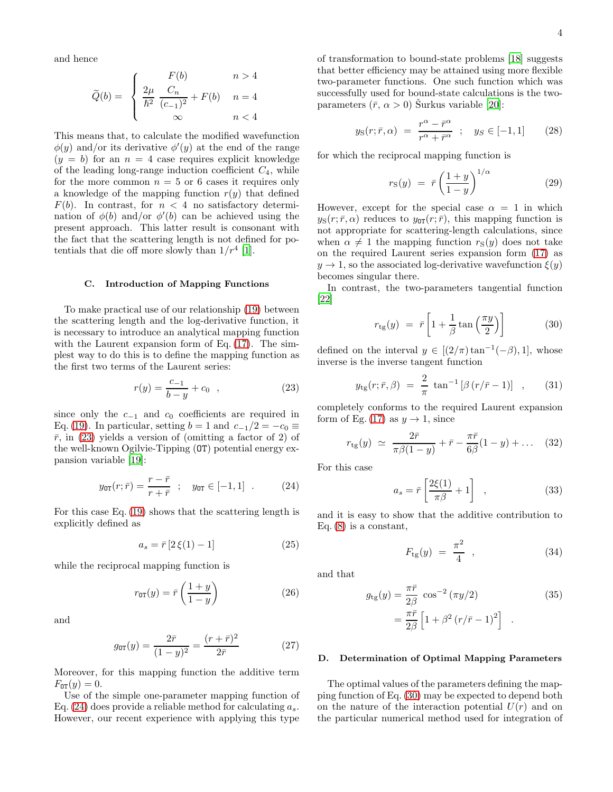and hence

$$
\widetilde{Q}(b) = \begin{cases}\n\frac{F(b)}{\hbar^2} & n > 4 \\
\frac{2\mu}{\hbar^2} \frac{C_n}{(c_{-1})^2} + F(b) & n = 4 \\
\infty & n < 4\n\end{cases}
$$

This means that, to calculate the modified wavefunction  $\phi(y)$  and/or its derivative  $\phi'(y)$  at the end of the range  $(y = b)$  for an  $n = 4$  case requires explicit knowledge of the leading long-range induction coefficient  $C_4$ , while for the more common  $n = 5$  or 6 cases it requires only a knowledge of the mapping function  $r(y)$  that defined  $F(b)$ . In contrast, for  $n < 4$  no satisfactory determination of  $\phi(b)$  and/or  $\phi'(b)$  can be achieved using the present approach. This latter result is consonant with the fact that the scattering length is not defined for potentials that die off more slowly than  $1/r^4$  [\[1](#page-10-0)].

### C. Introduction of Mapping Functions

To make practical use of our relationship [\(19\)](#page-2-6) between the scattering length and the log-derivative function, it is necessary to introduce an analytical mapping function with the Laurent expansion form of Eq.  $(17)$ . The simplest way to do this is to define the mapping function as the first two terms of the Laurent series:

<span id="page-3-0"></span>
$$
r(y) = \frac{c_{-1}}{b - y} + c_0 \quad , \tag{23}
$$

since only the  $c_{-1}$  and  $c_0$  coefficients are required in Eq. [\(19\)](#page-2-6). In particular, setting  $b = 1$  and  $c_{-1}/2 = -c_0 \equiv$  $\bar{r}$ , in [\(23\)](#page-3-0) yields a version of (omitting a factor of 2) of the well-known Ogilvie-Tipping (OT) potential energy expansion variable [\[19\]](#page-11-12):

<span id="page-3-1"></span>
$$
y_{0T}(r; \bar{r}) = \frac{r - \bar{r}}{r + \bar{r}} \; ; \; y_{0T} \in [-1, 1] \; . \tag{24}
$$

For this case Eq. [\(19\)](#page-2-6) shows that the scattering length is explicitly defined as

$$
a_s = \bar{r} \left[ 2\,\xi(1) - 1 \right] \tag{25}
$$

while the reciprocal mapping function is

$$
r_{\text{OT}}(y) = \bar{r}\left(\frac{1+y}{1-y}\right) \tag{26}
$$

and

<span id="page-3-5"></span>
$$
g_{0T}(y) = \frac{2\bar{r}}{(1-y)^2} = \frac{(r+\bar{r})^2}{2\bar{r}}
$$
 (27)

Moreover, for this mapping function the additive term  $F_{0T}(y) = 0.$ 

Use of the simple one-parameter mapping function of Eq. [\(24\)](#page-3-1) does provide a reliable method for calculating  $a_s$ . However, our recent experience with applying this type of transformation to bound-state problems [\[18](#page-11-11)] suggests that better efficiency may be attained using more flexible two-parameter functions. One such function which was successfully used for bound-state calculations is the twoparameters  $(\bar{r}, \alpha > 0)$  Surkus variable [\[20](#page-11-13)]:

<span id="page-3-6"></span>
$$
y_{\rm S}(r; \bar{r}, \alpha) = \frac{r^{\alpha} - \bar{r}^{\alpha}}{r^{\alpha} + \bar{r}^{\alpha}} \; ; \quad y_{S} \in [-1, 1] \qquad (28)
$$

for which the reciprocal mapping function is

<span id="page-3-7"></span>
$$
r_{\rm S}(y) = \bar{r} \left(\frac{1+y}{1-y}\right)^{1/\alpha} \tag{29}
$$

However, except for the special case  $\alpha = 1$  in which  $y_S(r;\bar{r},\alpha)$  reduces to  $y_{0T}(r;\bar{r})$ , this mapping function is not appropriate for scattering-length calculations, since when  $\alpha \neq 1$  the mapping function  $r_S(y)$  does not take on the required Laurent series expansion form [\(17\)](#page-2-5) as  $y \to 1$ , so the associated log-derivative wavefunction  $\xi(y)$ becomes singular there.

In contrast, the two-parameters tangential function [\[22\]](#page-11-15)

<span id="page-3-2"></span>
$$
r_{\text{tg}}(y) = \bar{r} \left[ 1 + \frac{1}{\beta} \tan\left(\frac{\pi y}{2}\right) \right] \tag{30}
$$

defined on the interval  $y \in [(2/\pi)\tan^{-1}(-\beta), 1]$ , whose inverse is the inverse tangent function

<span id="page-3-4"></span>
$$
y_{\rm tg}(r; \bar{r}, \beta) = \frac{2}{\pi} \tan^{-1} [\beta (r/\bar{r} - 1)] , \qquad (31)
$$

completely conforms to the required Laurent expansion form of Eg. [\(17\)](#page-2-5) as  $y \to 1$ , since

$$
r_{\text{tg}}(y) \simeq \frac{2\bar{r}}{\pi \beta (1-y)} + \bar{r} - \frac{\pi \bar{r}}{6\beta} (1-y) + \dots (32)
$$

For this case

<span id="page-3-8"></span>
$$
a_s = \bar{r} \left[ \frac{2\xi(1)}{\pi \beta} + 1 \right] , \qquad (33)
$$

and it is easy to show that the additive contribution to Eq.  $(8)$  is a constant,

$$
F_{\text{tg}}(y) = \frac{\pi^2}{4} \quad , \tag{34}
$$

and that

<span id="page-3-3"></span>
$$
g_{\text{tg}}(y) = \frac{\pi \bar{r}}{2\beta} \cos^{-2} (\pi y/2)
$$
(35)  

$$
= \frac{\pi \bar{r}}{2\beta} \left[ 1 + \beta^2 (r/\bar{r} - 1)^2 \right].
$$

### D. Determination of Optimal Mapping Parameters

The optimal values of the parameters defining the mapping function of Eq. [\(30\)](#page-3-2) may be expected to depend both on the nature of the interaction potential  $U(r)$  and on the particular numerical method used for integration of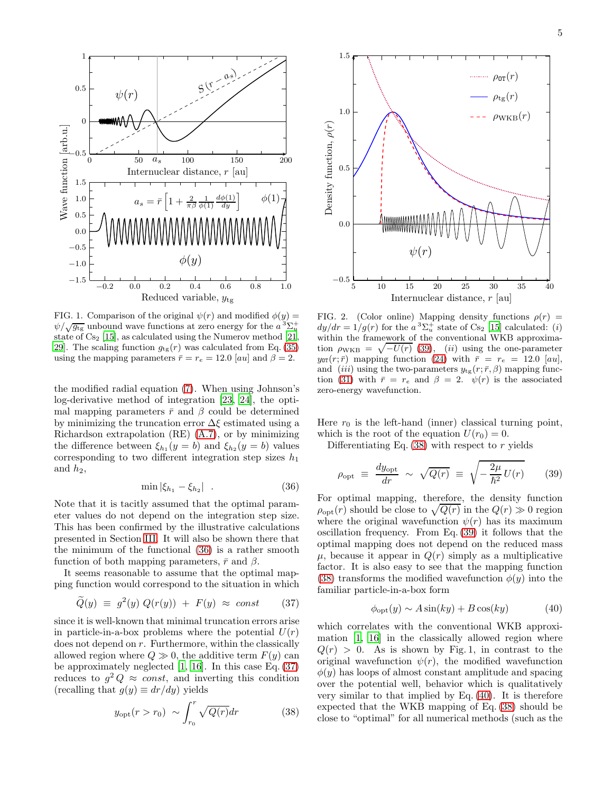

FIG. 1. Comparison of the original  $\psi(r)$  and modified  $\phi(y)$  =  $\psi/\sqrt{g_{\text{tg}}}$  unbound wave functions at zero energy for the  $a^3\Sigma_u^+$ state of  $Cs<sub>2</sub>$  [\[15\]](#page-11-8), as calculated using the Numerov method [\[21](#page-11-14), [29](#page-11-23). The scaling function  $g_{tg}(r)$  was calculated from Eq. [\(35\)](#page-3-3) using the mapping parameters  $\bar{r} = r_e = 12.0$  [au] and  $\beta = 2$ .

the modified radial equation [\(7\)](#page-1-0). When using Johnson's log-derivative method of integration [\[23](#page-11-16), [24\]](#page-11-17), the optimal mapping parameters  $\bar{r}$  and  $\beta$  could be determined by minimizing the truncation error  $\Delta \xi$  estimated using a Richardson extrapolation (RE) [\(A.7\)](#page-10-5), or by minimizing the difference between  $\xi_{h_1}(y=b)$  and  $\xi_{h_2}(y=b)$  values corresponding to two different integration step sizes  $h_1$ and  $h_2$ ,

<span id="page-4-0"></span>
$$
\min |\xi_{h_1} - \xi_{h_2}| \quad . \tag{36}
$$

Note that it is tacitly assumed that the optimal parameter values do not depend on the integration step size. This has been confirmed by the illustrative calculations presented in Section [III.](#page-5-0) It will also be shown there that the minimum of the functional [\(36\)](#page-4-0) is a rather smooth function of both mapping parameters,  $\bar{r}$  and  $\beta$ .

It seems reasonable to assume that the optimal mapping function would correspond to the situation in which

<span id="page-4-1"></span>
$$
\widetilde{Q}(y) \equiv g^2(y) Q(r(y)) + F(y) \approx const \qquad (37)
$$

since it is well-known that minimal truncation errors arise in particle-in-a-box problems where the potential  $U(r)$ does not depend on r. Furthermore, within the classically allowed region where  $Q \gg 0$ , the additive term  $F(y)$  can be approximately neglected  $[1, 16]$  $[1, 16]$  $[1, 16]$ . In this case Eq.  $(37)$ reduces to  $g^2 Q \approx const$ , and inverting this condition (recalling that  $g(y) \equiv dr/dy$ ) yields

<span id="page-4-3"></span>
$$
y_{\rm opt}(r > r_0) \sim \int_{r_0}^r \sqrt{Q(r)} dr \tag{38}
$$



<span id="page-4-5"></span>FIG. 2. (Color online) Mapping density functions  $\rho(r)$  =  $dy/dr = 1/g(r)$  for the  $a^3\Sigma_u^+$  state of Cs<sub>2</sub> [\[15](#page-11-8)] calculated: (i) within the framework of the conventional WKB approximation  $\rho_{\text{WKB}} = \sqrt{-U(r)}$  [\(39\)](#page-4-2), (ii) using the one-parameter  $y_{0T}(r; \bar{r})$  mapping function [\(24\)](#page-3-1) with  $\bar{r} = r_e = 12.0$  [au], and (iii) using the two-parameters  $y_{tg}(r; \bar{r}, \beta)$  mapping func-tion [\(31\)](#page-3-4) with  $\bar{r} = r_e$  and  $\beta = 2$ .  $\psi(r)$  is the associated zero-energy wavefunction.

Here  $r_0$  is the left-hand (inner) classical turning point, which is the root of the equation  $U(r_0) = 0$ .

Differentiating Eq.  $(38)$  with respect to r yields

<span id="page-4-2"></span>
$$
\rho_{\rm opt} \equiv \frac{dy_{\rm opt}}{dr} \sim \sqrt{Q(r)} \equiv \sqrt{-\frac{2\mu}{\hbar^2}U(r)} \qquad (39)
$$

For optimal mapping, therefore, the density function  $\rho_{\text{opt}}(r)$  should be close to  $\sqrt{Q(r)}$  in the  $Q(r) \gg 0$  region where the original wavefunction  $\psi(r)$  has its maximum oscillation frequency. From Eq. [\(39\)](#page-4-2) it follows that the optimal mapping does not depend on the reduced mass  $\mu$ , because it appear in  $Q(r)$  simply as a multiplicative factor. It is also easy to see that the mapping function [\(38\)](#page-4-3) transforms the modified wavefunction  $\phi(y)$  into the familiar particle-in-a-box form

<span id="page-4-4"></span>
$$
\phi_{\rm opt}(y) \sim A \sin(ky) + B \cos(ky) \tag{40}
$$

which correlates with the conventional WKB approximation [\[1](#page-10-0), [16\]](#page-11-9) in the classically allowed region where  $Q(r) > 0$ . As is shown by Fig. 1, in contrast to the original wavefunction  $\psi(r)$ , the modified wavefunction  $\phi(y)$  has loops of almost constant amplitude and spacing over the potential well, behavior which is qualitatively very similar to that implied by Eq. [\(40\)](#page-4-4). It is therefore expected that the WKB mapping of Eq. [\(38\)](#page-4-3) should be close to "optimal" for all numerical methods (such as the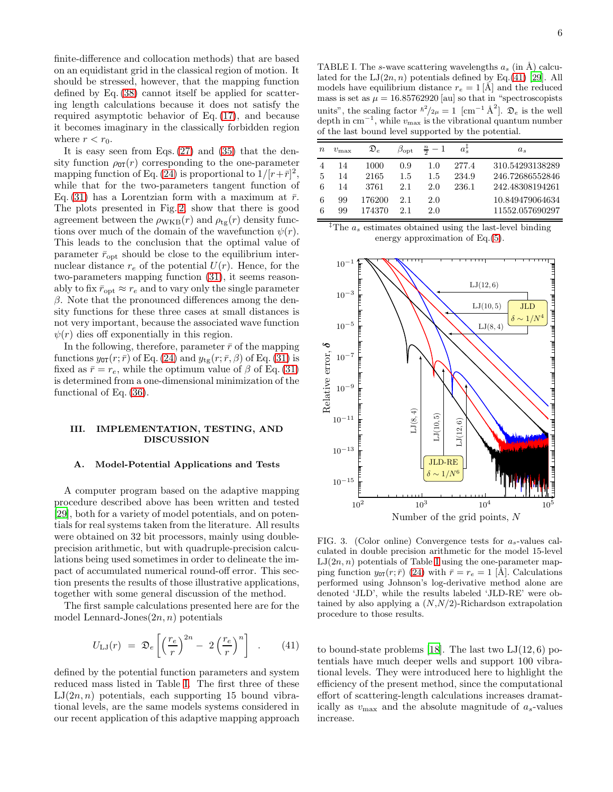finite-difference and collocation methods) that are based on an equidistant grid in the classical region of motion. It should be stressed, however, that the mapping function defined by Eq. [\(38\)](#page-4-3) cannot itself be applied for scattering length calculations because it does not satisfy the required asymptotic behavior of Eq. [\(17\)](#page-2-5), and because it becomes imaginary in the classically forbidden region where  $r < r_0$ .

It is easy seen from Eqs. [\(27\)](#page-3-5) and [\(35\)](#page-3-3) that the density function  $\rho_{0T}(r)$  corresponding to the one-parameter mapping function of Eq. [\(24\)](#page-3-1) is proportional to  $1/[r+\bar{r}]^2$ , while that for the two-parameters tangent function of Eq. [\(31\)](#page-3-4) has a Lorentzian form with a maximum at  $\bar{r}$ . The plots presented in Fig. [2,](#page-4-5) show that there is good agreement between the  $\rho_{\text{WKB}}(r)$  and  $\rho_{\text{tg}}(r)$  density functions over much of the domain of the wavefunction  $\psi(r)$ . This leads to the conclusion that the optimal value of parameter  $\bar{r}_{\text{opt}}$  should be close to the equilibrium internuclear distance  $r_e$  of the potential  $U(r)$ . Hence, for the two-parameters mapping function [\(31\)](#page-3-4), it seems reasonably to fix  $\bar{r}_{\text{opt}} \approx r_e$  and to vary only the single parameter  $β$ . Note that the pronounced differences among the density functions for these three cases at small distances is not very important, because the associated wave function  $\psi(r)$  dies off exponentially in this region.

In the following, therefore, parameter  $\bar{r}$  of the mapping functions  $y_{\text{OT}}(r; \bar{r})$  of Eq. [\(24\)](#page-3-1) and  $y_{\text{tg}}(r; \bar{r}, \beta)$  of Eq. [\(31\)](#page-3-4) is fixed as  $\bar{r} = r_e$ , while the optimum value of  $\beta$  of Eq. [\(31\)](#page-3-4) is determined from a one-dimensional minimization of the functional of Eq. [\(36\)](#page-4-0).

# <span id="page-5-0"></span>III. IMPLEMENTATION, TESTING, AND DISCUSSION

#### A. Model-Potential Applications and Tests

A computer program based on the adaptive mapping procedure described above has been written and tested [\[29\]](#page-11-23), both for a variety of model potentials, and on potentials for real systems taken from the literature. All results were obtained on 32 bit processors, mainly using doubleprecision arithmetic, but with quadruple-precision calculations being used sometimes in order to delineate the impact of accumulated numerical round-off error. This section presents the results of those illustrative applications, together with some general discussion of the method.

The first sample calculations presented here are for the model Lennard-Jones $(2n, n)$  potentials

<span id="page-5-2"></span>
$$
U_{\rm LJ}(r) = \mathfrak{D}_e \left[ \left( \frac{r_e}{r} \right)^{2n} - 2 \left( \frac{r_e}{r} \right)^n \right] . \tag{41}
$$

defined by the potential function parameters and system reduced mass listed in Table [I.](#page-5-1) The first three of these  $LJ(2n, n)$  potentials, each supporting 15 bound vibrational levels, are the same models systems considered in our recent application of this adaptive mapping approach

<span id="page-5-1"></span>TABLE I. The s-wave scattering wavelengths  $a_s$  (in Å) calculated for the  $LJ(2n, n)$  potentials defined by Eq.[\(41\)](#page-5-2) [\[29\]](#page-11-23). All models have equilibrium distance  $r_e = 1 \dot{A}$  and the reduced mass is set as  $\mu = 16.85762920$  [au] so that in "spectroscopists" units", the scaling factor  $\hbar^2/2\mu = 1$  [cm<sup>-1</sup> Å<sup>2</sup>].  $\mathfrak{D}_e$  is the well depth in  $cm^{-1}$ , while  $v_{\text{max}}$  is the vibrational quantum number of the last bound level supported by the potential.

| $\, n$ | $v_{\rm max}$  | $\mathfrak{D}_e$     | $\beta_{\rm opt}$ | $\frac{n}{2}-1$   |                         | $a_{s}$                                               |
|--------|----------------|----------------------|-------------------|-------------------|-------------------------|-------------------------------------------------------|
| 5<br>6 | 14<br>14<br>14 | 1000<br>2165<br>3761 | 0.9<br>1.5<br>2.1 | 1.0<br>1.5<br>2.0 | 277.4<br>234.9<br>236.1 | 310.54293138289<br>246.72686552846<br>242.48308194261 |
| 6<br>6 | 99<br>99       | 176200<br>174370     | 2.1<br>21         | 2.0<br>2.0        |                         | 10.849479064634<br>11552.057690297                    |

<sup>†</sup>The  $a_s$  estimates obtained using the last-level binding energy approximation of Eq.[\(5\)](#page-0-4).



<span id="page-5-3"></span>FIG. 3. (Color online) Convergence tests for  $a_s$ -values calculated in double precision arithmetic for the model 15-level  $LJ(2n, n)$  potentials of Table [I](#page-5-1) using the one-parameter mapping function  $y_{\text{OT}}(r; \bar{r})$  [\(24\)](#page-3-1) with  $\bar{r} = r_e = 1$  [Å]. Calculations performed using Johnson's log-derivative method alone are denoted 'JLD', while the results labeled 'JLD-RE' were obtained by also applying a  $(N, N/2)$ -Richardson extrapolation procedure to those results.

to bound-state problems [\[18](#page-11-11)]. The last two  $LJ(12,6)$  potentials have much deeper wells and support 100 vibrational levels. They were introduced here to highlight the efficiency of the present method, since the computational effort of scattering-length calculations increases dramatically as  $v_{\text{max}}$  and the absolute magnitude of  $a_s$ -values increase.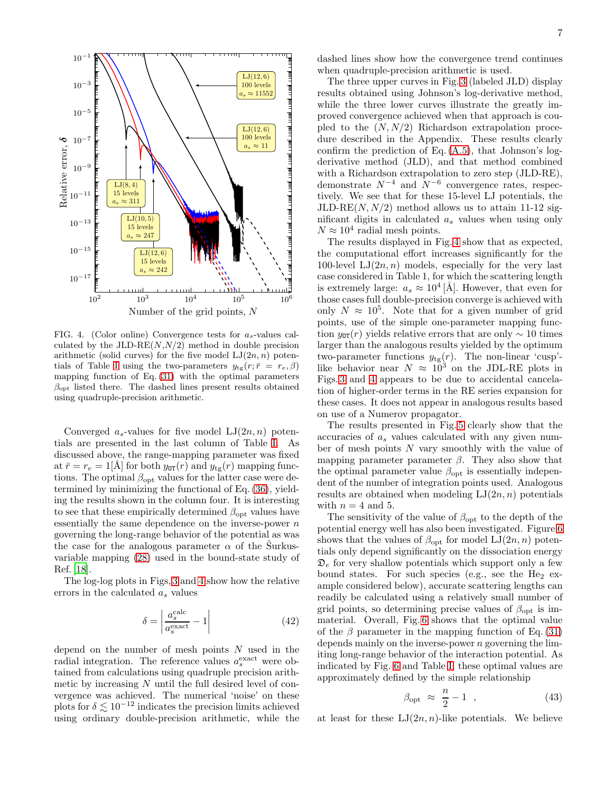

<span id="page-6-0"></span>FIG. 4. (Color online) Convergence tests for  $a_s$ -values calculated by the JLD-RE $(N, N/2)$  method in double precision arithmetic (solid curves) for the five model  $LJ(2n, n)$  poten-tials of Table [I](#page-5-1) using the two-parameters  $y_{tg}(r; \bar{r} = r_e, \beta)$ mapping function of Eq. [\(31\)](#page-3-4) with the optimal parameters  $\beta_{\text{opt}}$  listed there. The dashed lines present results obtained using quadruple-precision arithmetic.

Converged  $a_s$ -values for five model  $LJ(2n, n)$  potentials are presented in the last column of Table [I.](#page-5-1) As discussed above, the range-mapping parameter was fixed at  $\bar{r} = r_e = 1$ [Å] for both  $y_{0T}(r)$  and  $y_{tg}(r)$  mapping functions. The optimal  $\beta_{\text{opt}}$  values for the latter case were determined by minimizing the functional of Eq. [\(36\)](#page-4-0), yielding the results shown in the column four. It is interesting to see that these empirically determined  $\beta_{\text{opt}}$  values have essentially the same dependence on the inverse-power  $n$ governing the long-range behavior of the potential as was the case for the analogous parameter  $\alpha$  of the Surkusvariable mapping [\(28\)](#page-3-6) used in the bound-state study of Ref. [\[18\]](#page-11-11).

The log-log plots in Figs, [3](#page-5-3) and [4](#page-6-0) show how the relative errors in the calculated  $a_s$  values

<span id="page-6-1"></span>
$$
\delta = \left| \frac{a_s^{\text{calc}}}{a_s^{\text{exact}}} - 1 \right| \tag{42}
$$

depend on the number of mesh points  $N$  used in the radial integration. The reference values  $a_s^{\text{exact}}$  were obtained from calculations using quadruple precision arithmetic by increasing N until the full desired level of convergence was achieved. The numerical 'noise' on these plots for  $\delta \lesssim 10^{-12}$  indicates the precision limits achieved using ordinary double-precision arithmetic, while the

dashed lines show how the convergence trend continues when quadruple-precision arithmetic is used.

The three upper curves in Fig. [3](#page-5-3) (labeled JLD) display results obtained using Johnson's log-derivative method, while the three lower curves illustrate the greatly improved convergence achieved when that approach is coupled to the  $(N, N/2)$  Richardson extrapolation procedure described in the Appendix. These results clearly confirm the prediction of Eq.  $(A.5)$ , that Johnson's logderivative method (JLD), and that method combined with a Richardson extrapolation to zero step (JLD-RE), demonstrate  $N^{-4}$  and  $N^{-6}$  convergence rates, respectively. We see that for these 15-level LJ potentials, the  $JLD-RE(N, N/2)$  method allows us to attain 11-12 significant digits in calculated  $a_s$  values when using only  $N \approx 10^4$  radial mesh points.

The results displayed in Fig. [4](#page-6-0) show that as expected, the computational effort increases significantly for the 100-level  $LJ(2n, n)$  models, especially for the very last case considered in Table 1, for which the scattering length is extremely large:  $a_s \approx 10^4$  [Å]. However, that even for those cases full double-precision converge is achieved with only  $N \approx 10^5$ . Note that for a given number of grid points, use of the simple one-parameter mapping function  $y_{0T}(r)$  yields relative errors that are only  $\sim 10$  times larger than the analogous results yielded by the optimum two-parameter functions  $y_{tg}(r)$ . The non-linear 'cusp'like behavior near  $N \approx 10^3$  on the JDL-RE plots in Figs. [3](#page-5-3) and [4](#page-6-0) appears to be due to accidental cancelation of higher-order terms in the RE series expansion for these cases. It does not appear in analogous results based on use of a Numerov propagator.

The results presented in Fig. [5](#page-7-0) clearly show that the accuracies of a<sup>s</sup> values calculated with any given number of mesh points N vary smoothly with the value of mapping parameter parameter  $\beta$ . They also show that the optimal parameter value  $\beta_{\text{opt}}$  is essentially independent of the number of integration points used. Analogous results are obtained when modeling  $LJ(2n, n)$  potentials with  $n = 4$  and 5.

The sensitivity of the value of  $\beta_{\text{opt}}$  to the depth of the potential energy well has also been investigated. Figure [6](#page-7-1) shows that the values of  $\beta_{\text{opt}}$  for model  $LI(2n, n)$  potentials only depend significantly on the dissociation energy  $\mathfrak{D}_e$  for very shallow potentials which support only a few bound states. For such species (e.g., see the  $He<sub>2</sub>$  example considered below), accurate scattering lengths can readily be calculated using a relatively small number of grid points, so determining precise values of  $\beta_{\text{opt}}$  is immaterial. Overall, Fig. [6](#page-7-1) shows that the optimal value of the  $\beta$  parameter in the mapping function of Eq. [\(31\)](#page-3-4) depends mainly on the inverse-power  $n$  governing the limiting long-range behavior of the interaction potential. As indicated by Fig. [6](#page-7-1) and Table [I,](#page-5-1) these optimal values are approximately defined by the simple relationship

<span id="page-6-2"></span>
$$
\beta_{\rm opt} \approx \frac{n}{2} - 1 \quad , \tag{43}
$$

at least for these  $LJ(2n, n)$ -like potentials. We believe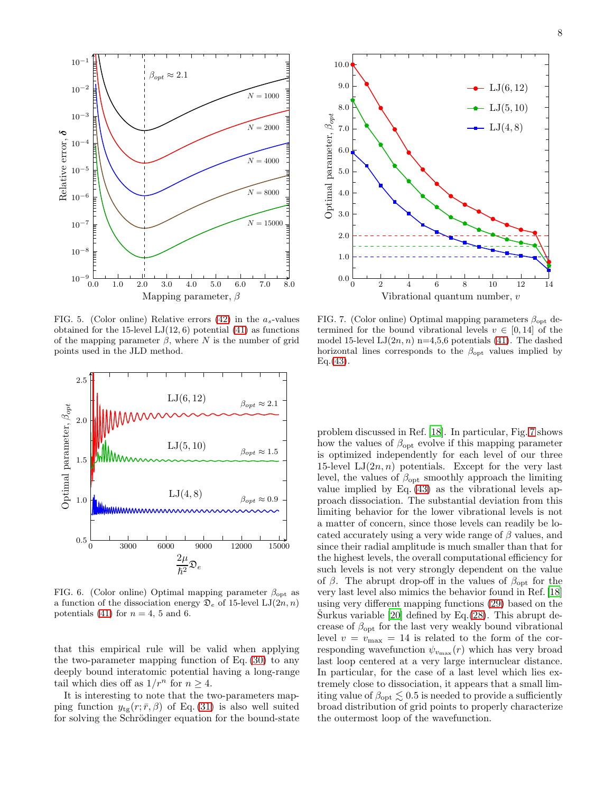

<span id="page-7-0"></span>FIG. 5. (Color online) Relative errors [\(42\)](#page-6-1) in the  $a_s$ -values obtained for the 15-level  $LJ(12, 6)$  potential  $(41)$  as functions of the mapping parameter  $\beta$ , where N is the number of grid points used in the JLD method.



<span id="page-7-1"></span>FIG. 6. (Color online) Optimal mapping parameter  $\beta_{\text{opt}}$  as a function of the dissociation energy  $\mathfrak{D}_e$  of 15-level  $\text{LJ}(2n, n)$ potentials [\(41\)](#page-5-2) for  $n = 4$ , 5 and 6.

that this empirical rule will be valid when applying the two-parameter mapping function of Eq. [\(30\)](#page-3-2) to any deeply bound interatomic potential having a long-range tail which dies off as  $1/r^n$  for  $n \geq 4$ .

It is interesting to note that the two-parameters mapping function  $y_{\text{te}}(r; \bar{r}, \beta)$  of Eq. [\(31\)](#page-3-4) is also well suited for solving the Schrödinger equation for the bound-state



<span id="page-7-2"></span>FIG. 7. (Color online) Optimal mapping parameters  $\beta_{\text{opt}}$  determined for the bound vibrational levels  $v \in [0, 14]$  of the model 15-level  $LJ(2n, n)$  n=4,5,6 potentials [\(41\)](#page-5-2). The dashed horizontal lines corresponds to the  $\beta_{\text{opt}}$  values implied by  $Eq. (43).$  $Eq. (43).$  $Eq. (43).$ 

problem discussed in Ref. [\[18\]](#page-11-11). In particular, Fig. [7](#page-7-2) shows how the values of  $\beta_{\text{opt}}$  evolve if this mapping parameter is optimized independently for each level of our three 15-level  $LJ(2n, n)$  potentials. Except for the very last level, the values of  $\beta_{\text{opt}}$  smoothly approach the limiting value implied by Eq.  $(43)$  as the vibrational levels approach dissociation. The substantial deviation from this limiting behavior for the lower vibrational levels is not a matter of concern, since those levels can readily be located accurately using a very wide range of  $\beta$  values, and since their radial amplitude is much smaller than that for the highest levels, the overall computational efficiency for such levels is not very strongly dependent on the value of  $\beta$ . The abrupt drop-off in the values of  $\beta_{\text{opt}}$  for the very last level also mimics the behavior found in Ref. [\[18](#page-11-11)] using very different mapping functions [\(29\)](#page-3-7) based on the Surkus variable [\[20\]](#page-11-13) defined by Eq. $(28)$ . This abrupt decrease of  $\beta_{\text{opt}}$  for the last very weakly bound vibrational level  $v = v_{\text{max}} = 14$  is related to the form of the corresponding wavefunction  $\psi_{v_{\text{max}}}(r)$  which has very broad last loop centered at a very large internuclear distance. In particular, for the case of a last level which lies extremely close to dissociation, it appears that a small limiting value of  $\beta_{\rm opt} \lesssim 0.5$  is needed to provide a sufficiently broad distribution of grid points to properly characterize the outermost loop of the wavefunction.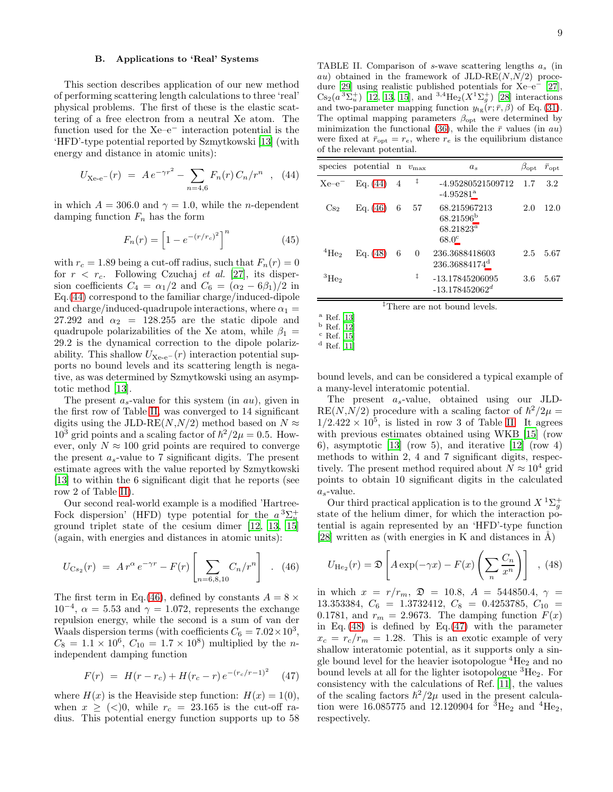### B. Applications to 'Real' Systems

This section describes application of our new method of performing scattering length calculations to three 'real' physical problems. The first of these is the elastic scattering of a free electron from a neutral Xe atom. The function used for the Xe–e<sup>−</sup> interaction potential is the 'HFD'-type potential reported by Szmytkowski [\[13\]](#page-11-6) (with energy and distance in atomic units):

<span id="page-8-0"></span>
$$
U_{\text{Xe-e}}(r) = A e^{-\gamma r^2} - \sum_{n=4,6} F_n(r) C_n / r^n \quad , \quad (44)
$$

in which  $A = 306.0$  and  $\gamma = 1.0$ , while the *n*-dependent damping function  $F_n$  has the form

$$
F_n(r) = \left[1 - e^{-(r/r_c)^2}\right]^n
$$
 (45)

with  $r_c = 1.89$  being a cut-off radius, such that  $F_n(r) = 0$ for  $r < r_c$ . Following Czuchaj *et al.* [\[27](#page-11-21)], its dispersion coefficients  $C_4 = \alpha_1/2$  and  $C_6 = (\alpha_2 - 6\beta_1)/2$  in Eq.[\(44\)](#page-8-0) correspond to the familiar charge/induced-dipole and charge/induced-quadrupole interactions, where  $\alpha_1 =$ 27.292 and  $\alpha_2$  = 128.255 are the static dipole and quadrupole polarizabilities of the Xe atom, while  $\beta_1 =$ 29.2 is the dynamical correction to the dipole polarizability. This shallow  $U_{\text{Xe-e}}(r)$  interaction potential supports no bound levels and its scattering length is negative, as was determined by Szmytkowski using an asymptotic method [\[13](#page-11-6)].

The present  $a_s$ -value for this system (in  $au$ ), given in the first row of Table [II,](#page-8-1) was converged to 14 significant digits using the JLD-RE( $N, N/2$ ) method based on  $N \approx$  $10^3$  grid points and a scaling factor of  $\hbar^2/2\mu = 0.5$ . However, only  $N \approx 100$  grid points are required to converge the present  $a_s$ -value to 7 significant digits. The present estimate agrees with the value reported by Szmytkowski [\[13\]](#page-11-6) to within the 6 significant digit that he reports (see row 2 of Table [II\)](#page-8-1).

Our second real-world example is a modified 'Hartree-Fock dispersion' (HFD) type potential for the  $a^3\Sigma_u^+$ ground triplet state of the cesium dimer [\[12,](#page-11-20) [13](#page-11-6), [15](#page-11-8)] (again, with energies and distances in atomic units):

<span id="page-8-2"></span>
$$
U_{\text{Cs}_2}(r) = A r^{\alpha} e^{-\gamma r} - F(r) \left[ \sum_{n=6,8,10} C_n / r^n \right] . (46)
$$

The first term in Eq.[\(46\)](#page-8-2), defined by constants  $A = 8 \times$  $10^{-4}$ ,  $\alpha = 5.53$  and  $\gamma = 1.072$ , represents the exchange repulsion energy, while the second is a sum of van der Waals dispersion terms (with coefficients  $C_6 = 7.02 \times 10^3$ ,  $C_8 = 1.1 \times 10^6$ ,  $C_{10} = 1.7 \times 10^8$  multiplied by the *n*independent damping function

<span id="page-8-8"></span>
$$
F(r) = H(r - r_c) + H(r_c - r) e^{-(r_c/r - 1)^2}
$$
 (47)

where  $H(x)$  is the Heaviside step function:  $H(x) = 1(0)$ , when  $x \geq (0, 0, 0)$ , while  $r_c = 23.165$  is the cut-off radius. This potential energy function supports up to 58

<span id="page-8-1"></span>TABLE II. Comparison of s-wave scattering lengths  $a_s$  (in au) obtained in the framework of  $JLD-RE(N,N/2)$  procedure [\[29](#page-11-23)] using realistic published potentials for Xe–e<sup>−</sup> [\[27\]](#page-11-21),  $\text{Cs}_2(a^3\Sigma_u^+)$  [\[12](#page-11-20), [13,](#page-11-6) [15](#page-11-8)], and  $^{3,4}\text{He}_2(X^1\Sigma_g^+)$  [\[28\]](#page-11-22) interactions and two-parameter mapping function  $y_{tg}(r; \bar{r}, \beta)$  of Eq. [\(31\)](#page-3-4). The optimal mapping parameters  $\beta_{\text{opt}}$  were determined by minimization the functional [\(36\)](#page-4-0), while the  $\bar{r}$  values (in au) were fixed at  $\bar{r}_{opt} = r_e$ , where  $r_e$  is the equilibrium distance of the relevant potential.

|                   | species potential n $v_{\text{max}}$ |   |            | $a_s$                                                              | $\beta_{\rm opt}$ | $\bar{r}_{\rm opt}$ |
|-------------------|--------------------------------------|---|------------|--------------------------------------------------------------------|-------------------|---------------------|
| $Xe-e^-$          | Eq. (44)                             | 4 | $\ddagger$ | -4.95280521509712<br>$-4.95281$ <sup>a</sup>                       | 1.7               | 3.2                 |
| $\mathrm{Cs}_2$   | Eq. (46)                             | 6 | 57         | 68.215967213<br>$68.21596^{\rm b}$<br>$68.21823^a$<br>$68.0^\circ$ | 2.0               | 12.0                |
| $\rm ^4He_2$      | Eq. (48)                             | 6 | $\theta$   | 236.3688418603<br>236.36884174 <sup>d</sup>                        | 2.5               | 5.67                |
| $\rm{^{3}He_{2}}$ |                                      |   | ŧ          | -13.17845206095<br>$-13.178452062^d$                               | 3.6               | 5.67                |

‡There are not bound levels.

bound levels, and can be considered a typical example of a many-level interatomic potential.

The present  $a_s$ -value, obtained using our JLD- $RE(N, N/2)$  procedure with a scaling factor of  $\hbar^2/2\mu =$  $1/2.422 \times 10^5$ , is listed in row 3 of Table [II.](#page-8-1) It agrees with previous estimates obtained using WKB [\[15\]](#page-11-8) (row 6), asymptotic [\[13\]](#page-11-6) (row 5), and iterative [\[12\]](#page-11-20) (row 4) methods to within 2, 4 and 7 significant digits, respectively. The present method required about  $N \approx 10^4$  grid points to obtain 10 significant digits in the calculated  $a_{s}$ -value.

Our third practical application is to the ground  $X^1\Sigma^+_g$ state of the helium dimer, for which the interaction potential is again represented by an 'HFD'-type function [\[28\]](#page-11-22) written as (with energies in K and distances in  $\AA$ )

<span id="page-8-6"></span>
$$
U_{\text{He}_2}(r) = \mathfrak{D}\left[A\exp(-\gamma x) - F(x)\left(\sum_n \frac{C_n}{x^n}\right)\right], \quad (48)
$$

in which  $x = r/r_m$ ,  $\mathfrak{D} = 10.8$ ,  $A = 544850.4$ ,  $\gamma =$ 13.353384,  $C_6 = 1.3732412$ ,  $C_8 = 0.4253785$ ,  $C_{10} =$ 0.1781, and  $r_m = 2.9673$ . The damping function  $F(x)$ in Eq.  $(48)$  is defined by Eq.  $(47)$  with the parameter  $x_c = r_c/r_m = 1.28$ . This is an exotic example of very shallow interatomic potential, as it supports only a single bound level for the heavier isotopologue  ${}^{4}He_{2}$  and no bound levels at all for the lighter isotopologue  ${}^{3}He_{2}$ . For consistency with the calculations of Ref. [\[11\]](#page-11-5), the values of the scaling factors  $\hbar^2/2\mu$  used in the present calculation were 16.085775 and 12.120904 for <sup>3</sup>He<sub>2</sub> and <sup>4</sup>He<sub>2</sub>, respectively.

 $^{\rm a}$  Ref. [\[13\]](#page-11-6)

<span id="page-8-3"></span> $<sup>b</sup>$  Ref. [\[12\]](#page-11-20)</sup>

<span id="page-8-4"></span> $^{\rm c}$  Ref. [\[15\]](#page-11-8)  $^{\rm d}$  Ref. [\[11\]](#page-11-5)

<span id="page-8-7"></span><span id="page-8-5"></span>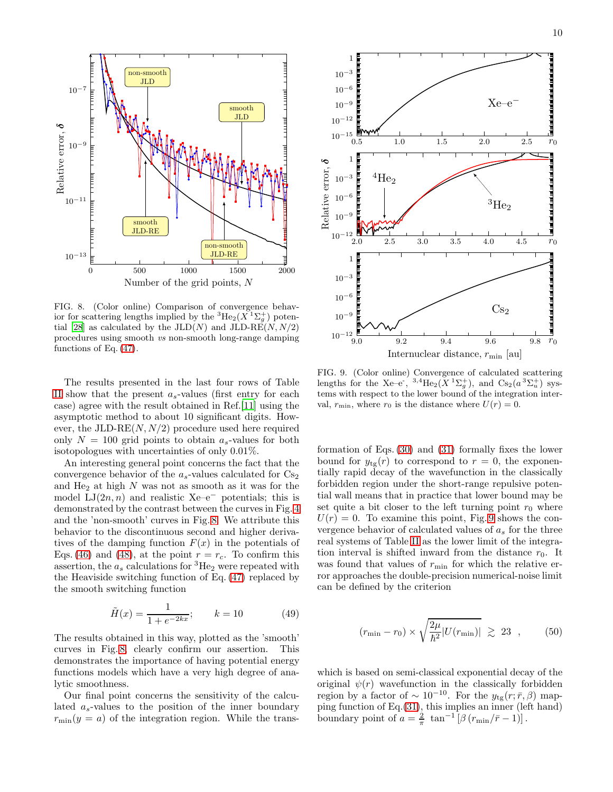

<span id="page-9-0"></span>FIG. 8. (Color online) Comparison of convergence behavior for scattering lengths implied by the  ${}^{3}He_2(X \, {}^{1}\Sigma_g^+)$  poten-tial [\[28\]](#page-11-22) as calculated by the  $JLD(N)$  and  $JLD-RE(N, N/2)$ procedures using smooth *vs* non-smooth long-range damping functions of Eq. [\(47\)](#page-8-8).

The results presented in the last four rows of Table [II](#page-8-1) show that the present  $a_s$ -values (first entry for each case) agree with the result obtained in Ref.[\[11\]](#page-11-5) using the asymptotic method to about 10 significant digits. However, the JLD-RE $(N, N/2)$  procedure used here required only  $N = 100$  grid points to obtain  $a_s$ -values for both isotopologues with uncertainties of only 0.01%.

An interesting general point concerns the fact that the convergence behavior of the  $a_s$ -values calculated for  $Cs_2$ and  $He<sub>2</sub>$  at high N was not as smooth as it was for the model  $LJ(2n, n)$  and realistic Xe–e<sup>-</sup> potentials; this is demonstrated by the contrast between the curves in Fig. [4](#page-6-0) and the 'non-smooth' curves in Fig. [8.](#page-9-0) We attribute this behavior to the discontinuous second and higher derivatives of the damping function  $F(x)$  in the potentials of Eqs. [\(46\)](#page-8-2) and [\(48\)](#page-8-6), at the point  $r = r_c$ . To confirm this assertion, the  $a_s$  calculations for  ${}^{3}He_2$  were repeated with the Heaviside switching function of Eq. [\(47\)](#page-8-8) replaced by the smooth switching function

$$
\tilde{H}(x) = \frac{1}{1 + e^{-2kx}}
$$
;  $k = 10$  (49)

The results obtained in this way, plotted as the 'smooth' curves in Fig. [8,](#page-9-0) clearly confirm our assertion. This demonstrates the importance of having potential energy functions models which have a very high degree of analytic smoothness.

Our final point concerns the sensitivity of the calculated  $a_s$ -values to the position of the inner boundary  $r_{\text{min}}(y = a)$  of the integration region. While the trans-



<span id="page-9-1"></span>FIG. 9. (Color online) Convergence of calculated scattering lengths for the Xe–e<sup>-, 3,4</sup>He<sub>2</sub>( $X$ <sup>1</sup> $\Sigma_g^+$ ), and Cs<sub>2</sub>( $a$ <sup>3</sup> $\Sigma_u^+$ ) systems with respect to the lower bound of the integration interval,  $r_{\min}$ , where  $r_0$  is the distance where  $U(r) = 0$ .

formation of Eqs. [\(30\)](#page-3-2) and [\(31\)](#page-3-4) formally fixes the lower bound for  $y_{tg}(r)$  to correspond to  $r = 0$ , the exponentially rapid decay of the wavefunction in the classically forbidden region under the short-range repulsive potential wall means that in practice that lower bound may be set quite a bit closer to the left turning point  $r_0$  where  $U(r) = 0$ . To examine this point, Fig. [9](#page-9-1) shows the convergence behavior of calculated values of  $a_s$  for the three real systems of Table [II](#page-8-1) as the lower limit of the integration interval is shifted inward from the distance  $r_0$ . It was found that values of  $r_{\min}$  for which the relative error approaches the double-precision numerical-noise limit can be defined by the criterion

$$
(r_{\min} - r_0) \times \sqrt{\frac{2\mu}{\hbar^2} |U(r_{\min})|} \geq 23 \quad , \tag{50}
$$

which is based on semi-classical exponential decay of the original  $\psi(r)$  wavefunction in the classically forbidden region by a factor of  $\sim 10^{-10}$ . For the  $y_{tg}(r;\bar{r},\beta)$  mapping function of Eq.[\(31\)](#page-3-4), this implies an inner (left hand) boundary point of  $a = \frac{2}{\pi} \tan^{-1}[\beta (r_{\min}/\bar{r}-1)].$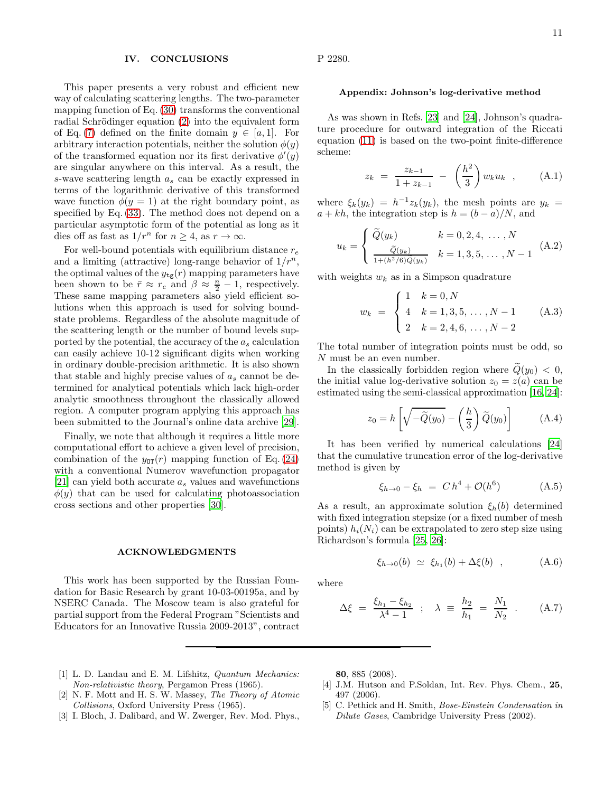#### IV. CONCLUSIONS

This paper presents a very robust and efficient new way of calculating scattering lengths. The two-parameter mapping function of Eq. [\(30\)](#page-3-2) transforms the conventional radial Schrödinger equation  $(2)$  into the equivalent form of Eq. [\(7\)](#page-1-0) defined on the finite domain  $y \in [a, 1]$ . For arbitrary interaction potentials, neither the solution  $\phi(y)$ of the transformed equation nor its first derivative  $\phi'(\check{y})$ are singular anywhere on this interval. As a result, the s-wave scattering length  $a_s$  can be exactly expressed in terms of the logarithmic derivative of this transformed wave function  $\phi(y=1)$  at the right boundary point, as specified by Eq. [\(33\)](#page-3-8). The method does not depend on a particular asymptotic form of the potential as long as it dies off as fast as  $1/r^n$  for  $n \geq 4$ , as  $r \to \infty$ .

For well-bound potentials with equilibrium distance  $r_e$ and a limiting (attractive) long-range behavior of  $1/r^n$ , the optimal values of the  $y_{\text{tg}}(r)$  mapping parameters have been shown to be  $\bar{r} \approx r_e$  and  $\beta \approx \frac{n}{2} - 1$ , respectively. These same mapping parameters also yield efficient solutions when this approach is used for solving boundstate problems. Regardless of the absolute magnitude of the scattering length or the number of bound levels supported by the potential, the accuracy of the  $a_s$  calculation can easily achieve 10-12 significant digits when working in ordinary double-precision arithmetic. It is also shown that stable and highly precise values of  $a_s$  cannot be determined for analytical potentials which lack high-order analytic smoothness throughout the classically allowed region. A computer program applying this approach has been submitted to the Journal's online data archive [\[29\]](#page-11-23).

Finally, we note that although it requires a little more computational effort to achieve a given level of precision, combination of the  $y_{0T}(r)$  mapping function of Eq. [\(24\)](#page-3-1) with a conventional Numerov wavefunction propagator [\[21\]](#page-11-14) can yield both accurate  $a_s$  values and wavefunctions  $\phi(y)$  that can be used for calculating photoassociation cross sections and other properties [\[30\]](#page-11-24).

#### ACKNOWLEDGMENTS

This work has been supported by the Russian Foundation for Basic Research by grant 10-03-00195a, and by NSERC Canada. The Moscow team is also grateful for partial support from the Federal Program "Scientists and Educators for an Innovative Russia 2009-2013", contract P 2280.

#### Appendix: Johnson's log-derivative method

As was shown in Refs. [\[23](#page-11-16)] and [\[24\]](#page-11-17), Johnson's quadrature procedure for outward integration of the Riccati equation [\(11\)](#page-2-7) is based on the two-point finite-difference scheme:

$$
z_k = \frac{z_{k-1}}{1 + z_{k-1}} - \left(\frac{h^2}{3}\right) w_k u_k \quad , \quad (A.1)
$$

where  $\xi_k(y_k) = h^{-1}z_k(y_k)$ , the mesh points are  $y_k =$  $a + kh$ , the integration step is  $h = (b - a)/N$ , and

$$
u_k = \begin{cases} \widetilde{Q}(y_k) & k = 0, 2, 4, \dots, N \\ \frac{\widetilde{Q}(y_k)}{1 + (h^2/6)\widetilde{Q}(y_k)} & k = 1, 3, 5, \dots, N - 1 \end{cases}
$$
 (A.2)

with weights  $w_k$  as in a Simpson quadrature

$$
w_k = \begin{cases} 1 & k = 0, N \\ 4 & k = 1, 3, 5, \dots, N - 1 \\ 2 & k = 2, 4, 6, \dots, N - 2 \end{cases}
$$
 (A.3)

The total number of integration points must be odd, so N must be an even number.

In the classically forbidden region where  $\widetilde{Q}(y_0) < 0$ , the initial value log-derivative solution  $z_0 = z(a)$  can be estimated using the semi-classical approximation [\[16,](#page-11-9) [24\]](#page-11-17):

$$
z_0 = h\left[\sqrt{-\widetilde{Q}(y_0)} - \left(\frac{h}{3}\right)\widetilde{Q}(y_0)\right]
$$
 (A.4)

It has been verified by numerical calculations [\[24](#page-11-17)] that the cumulative truncation error of the log-derivative method is given by

<span id="page-10-6"></span>
$$
\xi_{h \to 0} - \xi_h = C h^4 + \mathcal{O}(h^6) \tag{A.5}
$$

As a result, an approximate solution  $\xi_h(b)$  determined with fixed integration stepsize (or a fixed number of mesh points)  $h_i(N_i)$  can be extrapolated to zero step size using Richardson's formula [\[25,](#page-11-18) [26\]](#page-11-19):

$$
\xi_{h\to 0}(b) \simeq \xi_{h_1}(b) + \Delta \xi(b) , \qquad (A.6)
$$

where

<span id="page-10-5"></span>
$$
\Delta \xi = \frac{\xi_{h_1} - \xi_{h_2}}{\lambda^4 - 1} \; ; \; \lambda \equiv \frac{h_2}{h_1} = \frac{N_1}{N_2} \; . \qquad (A.7)
$$

- <span id="page-10-0"></span>[1] L. D. Landau and E. M. Lifshitz, *Quantum Mechanics: Non-relativistic theory*, Pergamon Press (1965).
- <span id="page-10-1"></span>[2] N. F. Mott and H. S. W. Massey, *The Theory of Atomic Collisions*, Oxford University Press (1965).
- <span id="page-10-2"></span>[3] I. Bloch, J. Dalibard, and W. Zwerger, Rev. Mod. Phys.,

80, 885 (2008).

- <span id="page-10-3"></span>[4] J.M. Hutson and P.Soldan, Int. Rev. Phys. Chem., 25, 497 (2006).
- <span id="page-10-4"></span>[5] C. Pethick and H. Smith, *Bose-Einstein Condensation in Dilute Gases*, Cambridge University Press (2002).